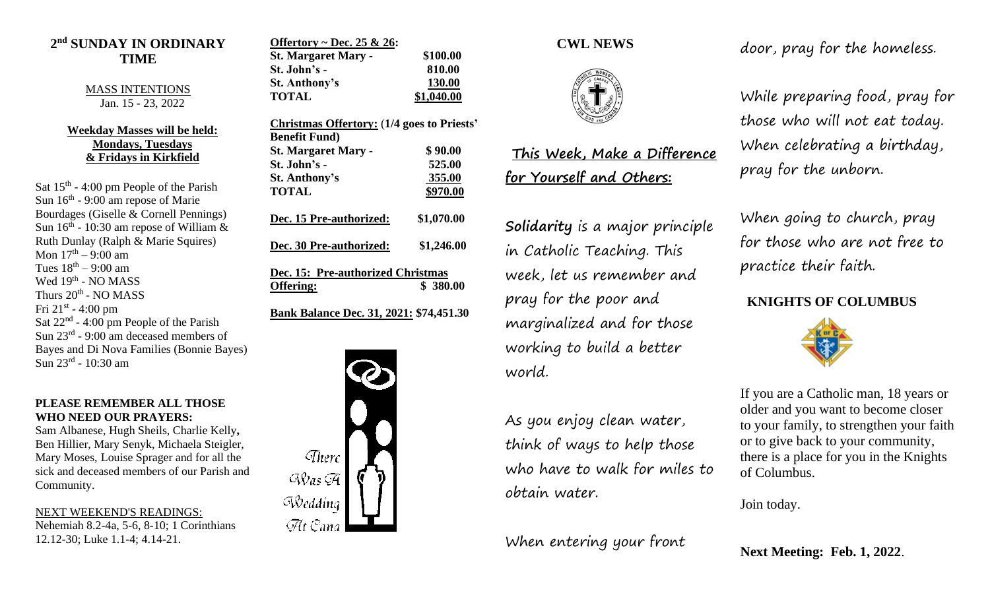## **2 nd SUNDAY IN ORDINARY TIME**

MASS INTENTIONS Jan. 15 - 23, 2022

#### **Weekday Masses will be held: Mondays, Tuesdays & Fridays in Kirkfield**

Sat  $15<sup>th</sup> - 4:00$  pm People of the Parish Sun 16<sup>th</sup> - 9:00 am repose of Marie Bourdages (Giselle & Cornell Pennings) Sun  $16<sup>th</sup>$  - 10:30 am repose of William & Ruth Dunlay (Ralph & Marie Squires) Mon 17<sup>th</sup> – 9:00 am Tues  $18<sup>th</sup> - 9:00$  am Wed 19<sup>th</sup> - NO MASS Thurs 20<sup>th</sup> - NO MASS Fri  $21^{\text{st}}$  - 4:00 pm Sat  $22<sup>nd</sup> - 4:00$  pm People of the Parish Sun 23<sup>rd</sup> - 9:00 am deceased members of Bayes and Di Nova Families (Bonnie Bayes) Sun 23<sup>rd</sup> - 10:30 am

#### **PLEASE REMEMBER ALL THOSE WHO NEED OUR PRAYERS:**

Sam Albanese, Hugh Sheils, Charlie Kelly**,**  Ben Hillier, Mary Senyk, Michaela Steigler, Mary Moses, Louise Sprager and for all the sick and deceased members of our Parish and Community.

NEXT WEEKEND'S READINGS: Nehemiah 8.2-4a, 5-6, 8-10; 1 Corinthians 12.12-30; Luke 1.1-4; 4.14-21.

| Offertory ~ Dec. 25 & 26:  |            |
|----------------------------|------------|
| <b>St. Margaret Mary -</b> | \$100.00   |
| St. John's -               | 810.00     |
| <b>St. Anthony's</b>       | 130.00     |
| <b>TOTAL</b>               | \$1,040.00 |

| <b>Christmas Offertory: (1/4 goes to Priests'</b>          |                          |
|------------------------------------------------------------|--------------------------|
| <b>Benefit Fund</b> )<br><b>St. Margaret Mary -</b>        | \$90.00                  |
| St. John's -                                               | 525.00                   |
| <b>St. Anthony's</b>                                       | 355.00                   |
| <b>TOTAL</b>                                               | \$970.00                 |
| Dec. 15 Pre-authorized:<br>Dec. 30 Pre-authorized:         | \$1,070.00<br>\$1,246.00 |
| Dec. 15: Pre-authorized Christmas<br>\$380.00<br>Offering: |                          |
| Bank Balance Dec. 31, 2021: \$74,451.30                    |                          |



## **CWL NEWS**



# **This Week, Make a Difference for Yourself and Others:**

**Solidarity** is a major principle in Catholic Teaching. This week, let us remember and pray for the poor and marginalized and for those working to build a better world.

As you enjoy clean water, think of ways to help those who have to walk for miles to obtain water.

When entering your front

door, pray for the homeless.

While preparing food, pray for those who will not eat today. When celebrating a birthday, pray for the unborn.

When going to church, pray for those who are not free to practice their faith.

## **KNIGHTS OF COLUMBUS**



If you are a Catholic man, 18 years or older and you want to become closer to your family, to strengthen your faith or to give back to your community, there is a place for you in the Knights of Columbus.

Join today.

**Next Meeting: Feb. 1, 2022**.